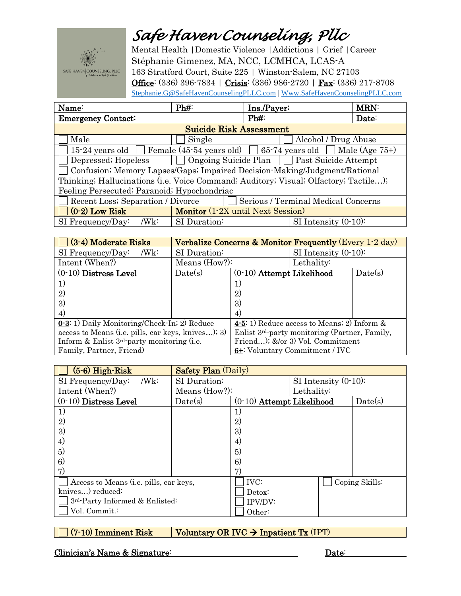## Safe Haven Counseling, Plic



Mental Health | Domestic Violence | Addictions | Grief | Career Stéphanie Gimenez, MA, NCC, LCMHCA, LCAS-A 163 Stratford Court, Suite 225 | Winston-Salem, NC 27103 Office: (336) 396-7834 | Crisis: (336) 986-2720 | Fax: (336) 217-8708 Stephanie.G@SafeHavenCounselingPLLC.com | Www.SafeHavenCounselingPLLC.com

| Name:                                                                                        | Ph#                                                     | Ins./Payer:               | <b>MRN:</b> |  |  |  |  |
|----------------------------------------------------------------------------------------------|---------------------------------------------------------|---------------------------|-------------|--|--|--|--|
| <b>Emergency Contact:</b>                                                                    |                                                         | Ph#                       | Date:       |  |  |  |  |
| <b>Suicide Risk Assessment</b>                                                               |                                                         |                           |             |  |  |  |  |
| Male                                                                                         | Single                                                  | Alcohol / Drug Abuse      |             |  |  |  |  |
| Female (45.54 years old) $\Box$ 65.74 years old $\Box$ Male (Age 75+)<br>$15-24$ years old [ |                                                         |                           |             |  |  |  |  |
| Depressed; Hopeless                                                                          | $\Box$ Ongoing Suicide Plan $\Box$ Past Suicide Attempt |                           |             |  |  |  |  |
| Confusion; Memory Lapses/Gaps; Impaired Decision-Making/Judgment/Rational                    |                                                         |                           |             |  |  |  |  |
| Thinking; Hallucinations (i.e. Voice Command; Auditory; Visual; Olfactory; Tactile);         |                                                         |                           |             |  |  |  |  |
| Feeling Persecuted; Paranoid; Hypochondriac                                                  |                                                         |                           |             |  |  |  |  |
| Recent Loss; Separation / Divorce<br>Serious / Terminal Medical Concerns                     |                                                         |                           |             |  |  |  |  |
| $(0-2)$ Low Risk                                                                             | Monitor (1-2X until Next Session)                       |                           |             |  |  |  |  |
| SI Frequency/Day:<br>/Wk:                                                                    | SI Duration:                                            | $SI$ Intensity $(0-10)$ : |             |  |  |  |  |

| (3-4) Moderate Risks                               | Verbalize Concerns & Monitor Frequently (Every 1-2 day) |                                                            |                           |         |  |
|----------------------------------------------------|---------------------------------------------------------|------------------------------------------------------------|---------------------------|---------|--|
| SI Frequency/Day:<br>/Wk:                          | SI Duration:                                            |                                                            | $SI$ Intensity $(0-10)$ : |         |  |
| Intent (When?)                                     | Means (How?):                                           |                                                            | Lethality:                |         |  |
| $(0-10)$ Distress Level                            | Date(s)                                                 | $(0-10)$ Attempt Likelihood                                |                           | Date(s) |  |
| 1)                                                 |                                                         | 1)                                                         |                           |         |  |
| $\left( 2\right)$                                  |                                                         | $\mathfrak{D}$                                             |                           |         |  |
| 3                                                  |                                                         | 3)                                                         |                           |         |  |
| $\left( 4\right)$                                  |                                                         | 4)                                                         |                           |         |  |
| 0.3: 1) Daily Monitoring/Check-In; 2) Reduce       |                                                         | 4-5: 1) Reduce access to Means; 2) Inform $\&$             |                           |         |  |
| access to Means (i.e. pills, car keys, knives); 3) |                                                         | Enlist 3 <sup>rd</sup> -party monitoring (Partner, Family, |                           |         |  |
| Inform & Enlist 3rd-party monitoring (i.e.         |                                                         | Friend); &/or 3) Vol. Commitment                           |                           |         |  |
| Family, Partner, Friend)                           |                                                         | 6+: Voluntary Commitment / IVC                             |                           |         |  |

| $(5-6)$ High-Risk                      | <b>Safety Plan (Daily)</b> |                             |                         |                |  |
|----------------------------------------|----------------------------|-----------------------------|-------------------------|----------------|--|
| /Wk:<br>SI Frequency/Day:              | SI Duration:               |                             | SI Intensity $(0-10)$ : |                |  |
| Intent (When?)                         | Means (How?):              |                             | Lethality:              |                |  |
| $(0-10)$ Distress Level                | Date(s)                    | $(0-10)$ Attempt Likelihood |                         | Date(s)        |  |
| 1)                                     |                            |                             |                         |                |  |
| 2)                                     |                            | 2)                          |                         |                |  |
| 3)                                     |                            | 3)                          |                         |                |  |
| 4)                                     |                            | 4)                          |                         |                |  |
| 5)                                     |                            | 5)                          |                         |                |  |
| 6)                                     |                            | 6)                          |                         |                |  |
| 7)                                     |                            | 7)                          |                         |                |  |
| Access to Means (i.e. pills, car keys, |                            | <b>IVC:</b>                 |                         | Coping Skills: |  |
| knives) reduced:                       |                            | Detox:                      |                         |                |  |
| 3rd-Party Informed & Enlisted:         |                            | IPV/DV:                     |                         |                |  |
| Vol. Commit.:                          |                            | Other:                      |                         |                |  |

Voluntary OR IVC  $\rightarrow$  Inpatient Tx (IPT) (7-10) Imminent Risk

Clinician's Name & Signature: